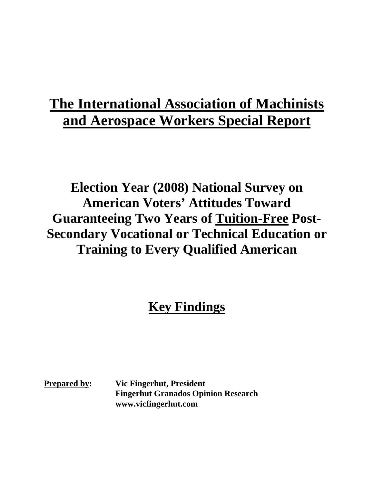## **The International Association of Machinists and Aerospace Workers Special Report**

**Election Year (2008) National Survey on American Voters' Attitudes Toward Guaranteeing Two Years of Tuition-Free Post-Secondary Vocational or Technical Education or Training to Every Qualified American**

## **Key Findings**

**Prepared by: Vic Fingerhut, President Fingerhut Granados Opinion Research www.vicfingerhut.com**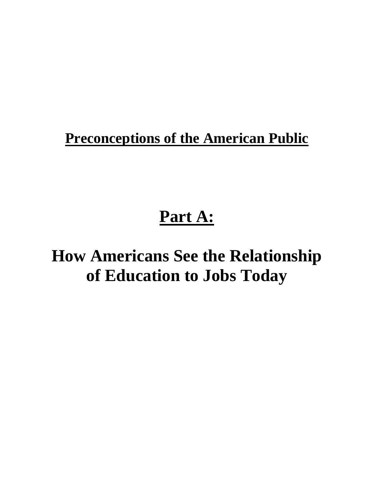## **Preconceptions of the American Public**

## **Part A:**

## **How Americans See the Relationship of Education to Jobs Today**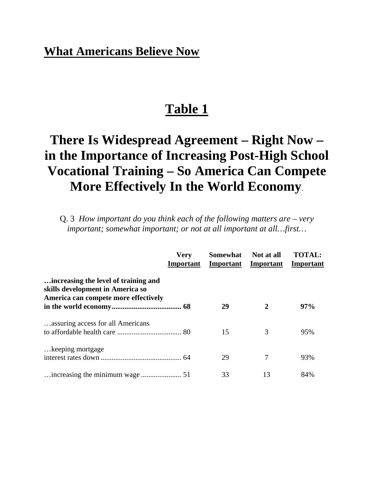### **Table 1**

## **There Is Widespread Agreement – Right Now – in the Importance of Increasing Post-High School Vocational Training – So America Can Compete More Effectively In the World Economy**.

Q. 3 *How important do you think each of the following matters are – very important; somewhat important; or not at all important at all…first…*

|                                                                                                                  | <b>Very</b><br>Important | <b>Somewhat</b> | Not at all<br><b>Important</b> Important | <b>TOTAL:</b><br>Important |
|------------------------------------------------------------------------------------------------------------------|--------------------------|-----------------|------------------------------------------|----------------------------|
| increasing the level of training and<br>skills development in America so<br>America can compete more effectively |                          | 29              | $\mathbf{2}$                             | 97%                        |
| assuring access for all Americans                                                                                |                          | 15              | 3                                        | 95%                        |
| keeping mortgage                                                                                                 |                          | 29              | 7                                        | 93%                        |
|                                                                                                                  |                          | 33              | 13                                       | 84%                        |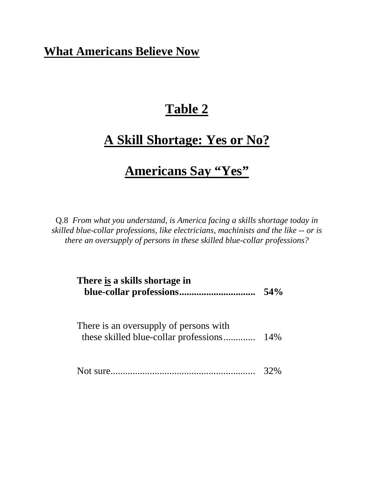## **Table 2**

## **A Skill Shortage: Yes or No?**

### **Americans Say "Yes"**

Q.8 *From what you understand, is America facing a skills shortage today in skilled blue-collar professions, like electricians, machinists and the like -- or is there an oversupply of persons in these skilled blue-collar professions?*

| There is a skills shortage in                                                   | 54% |
|---------------------------------------------------------------------------------|-----|
| There is an oversupply of persons with<br>these skilled blue-collar professions | 14% |
|                                                                                 |     |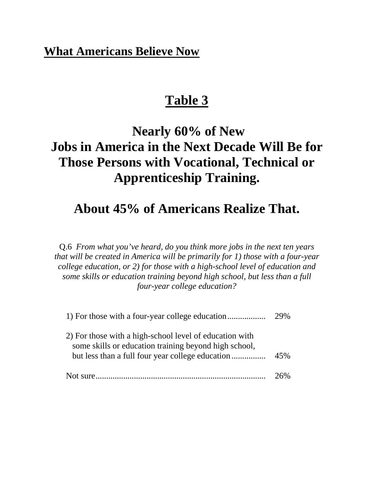### **Table 3**

## **Nearly 60% of New Jobs in America in the Next Decade Will Be for Those Persons with Vocational, Technical or Apprenticeship Training.**

### **About 45% of Americans Realize That.**

Q.6 *From what you've heard, do you think more jobs in the next ten years that will be created in America will be primarily for 1) those with a four-year college education, or 2) for those with a high-school level of education and some skills or education training beyond high school, but less than a full four-year college education?*

|                                                                                                                  | 29% |
|------------------------------------------------------------------------------------------------------------------|-----|
| 2) For those with a high-school level of education with<br>some skills or education training beyond high school, | 45% |
| Not sure                                                                                                         |     |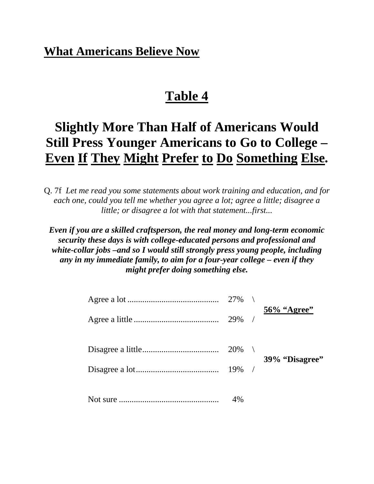### **Table 4**

## **Slightly More Than Half of Americans Would Still Press Younger Americans to Go to College – Even If They Might Prefer to Do Something Else.**

Q. 7f *Let me read you some statements about work training and education, and for each one, could you tell me whether you agree a lot; agree a little; disagree a little; or disagree a lot with that statement...first...* 

*Even if you are a skilled craftsperson, the real money and long-term economic security these days is with college-educated persons and professional and white-collar jobs –and so I would still strongly press young people, including any in my immediate family, to aim for a four-year college – even if they might prefer doing something else.*

|  | 27% |                |
|--|-----|----------------|
|  |     | 56% "Agree"    |
|  |     | 39% "Disagree" |
|  |     |                |
|  | 4%  |                |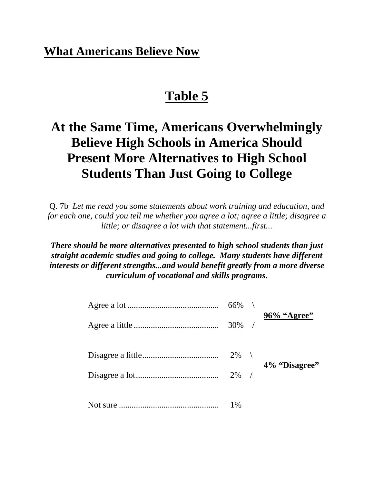### **Table 5**

## **At the Same Time, Americans Overwhelmingly Believe High Schools in America Should Present More Alternatives to High School Students Than Just Going to College**

Q. 7b *Let me read you some statements about work training and education, and for each one, could you tell me whether you agree a lot; agree a little; disagree a little; or disagree a lot with that statement...first...* 

*There should be more alternatives presented to high school students than just straight academic studies and going to college. Many students have different interests or different strengths...and would benefit greatly from a more diverse curriculum of vocational and skills programs***.**

|  | $66\%$ \           |               |
|--|--------------------|---------------|
|  | $30\%$ /           | 96% "Agree"   |
|  | $2\%$ \<br>$2\%$ / | 4% "Disagree" |
|  | $1\%$              |               |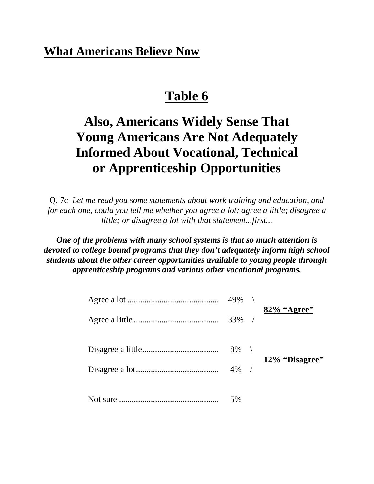### **Table 6**

## **Also, Americans Widely Sense That Young Americans Are Not Adequately Informed About Vocational, Technical or Apprenticeship Opportunities**

Q. 7c *Let me read you some statements about work training and education, and for each one, could you tell me whether you agree a lot; agree a little; disagree a little; or disagree a lot with that statement...first...* 

*One of the problems with many school systems is that so much attention is devoted to college bound programs that they don't adequately inform high school students about the other career opportunities available to young people through apprenticeship programs and various other vocational programs.*

| $49\%$ \           |                |
|--------------------|----------------|
| $33\%$ /           | 82% "Agree"    |
| $8\%$ \<br>$4\%$ / | 12% "Disagree" |
| 5%                 |                |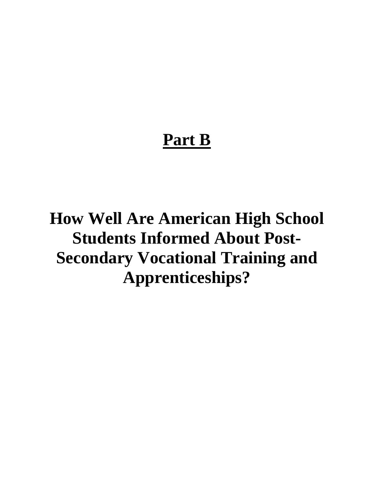## **Part B**

**How Well Are American High School Students Informed About Post-Secondary Vocational Training and Apprenticeships?**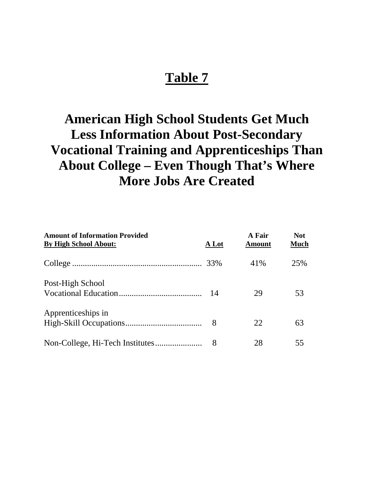## **American High School Students Get Much Less Information About Post-Secondary Vocational Training and Apprenticeships Than About College – Even Though That's Where More Jobs Are Created**

| <b>Amount of Information Provided</b><br><b>By High School About:</b> | A Lot | A Fair<br><b>Amount</b> | <b>Not</b><br>Much |
|-----------------------------------------------------------------------|-------|-------------------------|--------------------|
|                                                                       |       | 41\%                    | 25%                |
| Post-High School                                                      | - 14  | 29                      | 53                 |
| Apprenticeships in                                                    |       | 22                      | 63                 |
|                                                                       | 8     | 28                      | 55                 |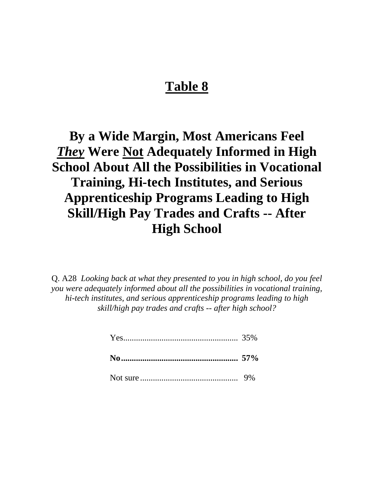**By a Wide Margin, Most Americans Feel**  *They* **Were Not Adequately Informed in High School About All the Possibilities in Vocational Training, Hi-tech Institutes, and Serious Apprenticeship Programs Leading to High Skill/High Pay Trades and Crafts -- After High School**

Q. A28 *Looking back at what they presented to you in high school, do you feel you were adequately informed about all the possibilities in vocational training, hi-tech institutes, and serious apprenticeship programs leading to high skill/high pay trades and crafts -- after high school?*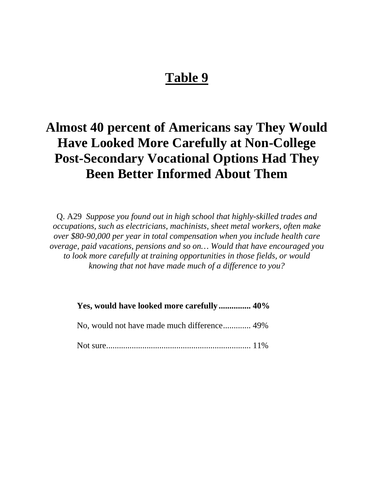## **Almost 40 percent of Americans say They Would Have Looked More Carefully at Non-College Post-Secondary Vocational Options Had They Been Better Informed About Them**

Q. A29 *Suppose you found out in high school that highly-skilled trades and occupations, such as electricians, machinists, sheet metal workers, often make over \$80-90,000 per year in total compensation when you include health care overage, paid vacations, pensions and so on… Would that have encouraged you to look more carefully at training opportunities in those fields, or would knowing that not have made much of a difference to you?*

 **Yes, would have looked more carefully ............... 40%** 

No, would not have made much difference............. 49%

Not sure.................................................................... 11%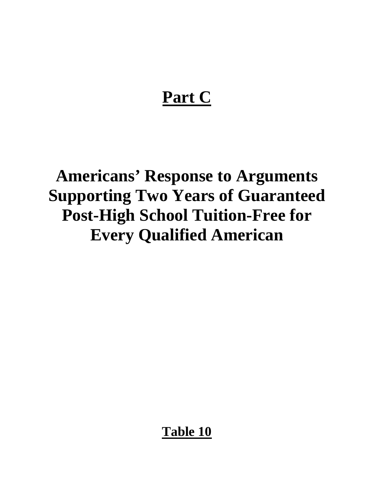# **Part C**

# **Americans' Response to Arguments Supporting Two Years of Guaranteed Post-High School Tuition-Free for Every Qualified American**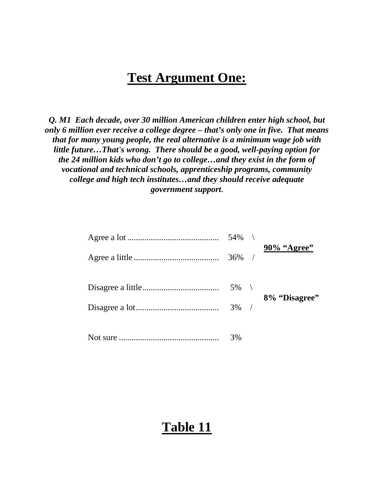### **Test Argument One:**

*Q. M1 Each decade, over 30 million American children enter high school, but only 6 million ever receive a college degree – that's only one in five. That means that for many young people, the real alternative is a minimum wage job with little future…That's wrong. There should be a good, well-paying option for the 24 million kids who don't go to college…and they exist in the form of vocational and technical schools, apprenticeship programs, community college and high tech institutes…and they should receive adequate government support***.**

| $54\%$ \           | 90% "Agree"   |
|--------------------|---------------|
| $36\%$ /           |               |
| $5\%$ \<br>$3\%$ / | 8% "Disagree" |
| 3%                 |               |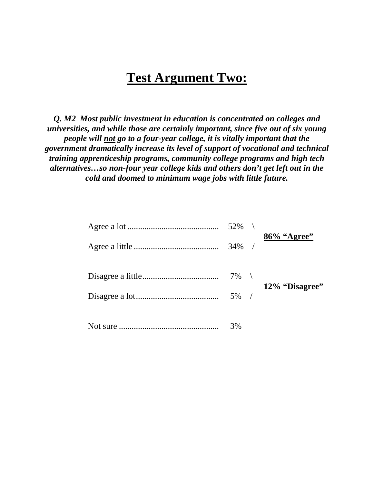### **Test Argument Two:**

*Q. M2 Most public investment in education is concentrated on colleges and universities, and while those are certainly important, since five out of six young people will not go to a four-year college, it is vitally important that the government dramatically increase its level of support of vocational and technical training apprenticeship programs, community college programs and high tech alternatives…so non-four year college kids and others don't get left out in the cold and doomed to minimum wage jobs with little future.*

| $52\%$ \ | 86% "Agree"    |
|----------|----------------|
| $34\%$ / |                |
| $5\%$ /  | 12% "Disagree" |
| 3%       |                |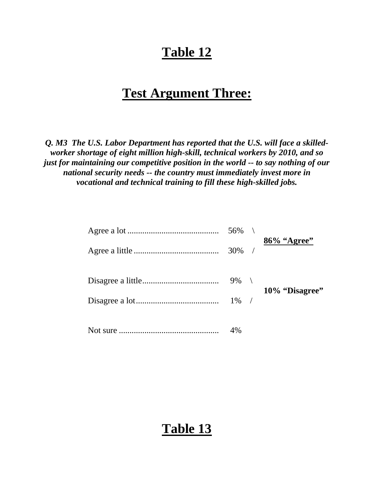### **Test Argument Three:**

*Q. M3 The U.S. Labor Department has reported that the U.S. will face a skilledworker shortage of eight million high-skill, technical workers by 2010, and so just for maintaining our competitive position in the world -- to say nothing of our national security needs -- the country must immediately invest more in vocational and technical training to fill these high-skilled jobs.*

| $56\%$ \ |                |
|----------|----------------|
| $30\%$ / | 86% "Agree"    |
| $9\%$ \  | 10% "Disagree" |
|          |                |
| 4%       |                |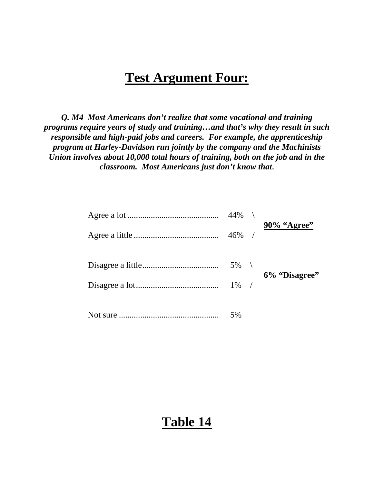### **Test Argument Four:**

*Q. M4 Most Americans don't realize that some vocational and training programs require years of study and training…and that's why they result in such responsible and high-paid jobs and careers. For example, the apprenticeship program at Harley-Davidson run jointly by the company and the Machinists Union involves about 10,000 total hours of training, both on the job and in the classroom. Most Americans just don't know that***.** 

| 44%     | 90% "Agree"   |
|---------|---------------|
|         |               |
| $5\%$ \ | 6% "Disagree" |
|         |               |
| 5%      |               |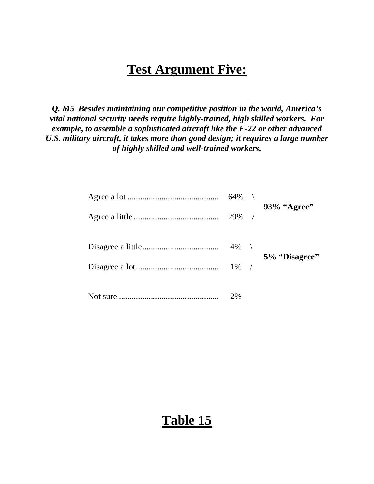### **Test Argument Five:**

*Q. M5 Besides maintaining our competitive position in the world, America's vital national security needs require highly-trained, high skilled workers. For example, to assemble a sophisticated aircraft like the F-22 or other advanced U.S. military aircraft, it takes more than good design; it requires a large number of highly skilled and well-trained workers.*

|  | $64\%$ \ | 93% "Agree"   |
|--|----------|---------------|
|  | $29\%$ / |               |
|  | $4\%$ \  |               |
|  |          | 5% "Disagree" |
|  |          |               |
|  |          |               |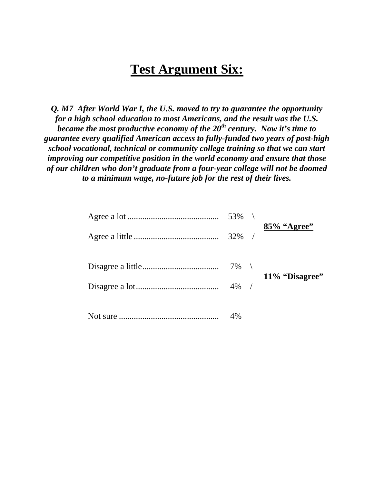### **Test Argument Six:**

*Q. M7 After World War I, the U.S. moved to try to guarantee the opportunity for a high school education to most Americans, and the result was the U.S. became the most productive economy of the 20th century. Now it's time to guarantee every qualified American access to fully-funded two years of post-high school vocational, technical or community college training so that we can start improving our competitive position in the world economy and ensure that those of our children who don't graduate from a four-year college will not be doomed to a minimum wage, no-future job for the rest of their lives.*

| 53% \    |                |
|----------|----------------|
| $32\%$ / | 85% "Agree"    |
|          | 11% "Disagree" |
| $4\%$ /  |                |
| 4%       |                |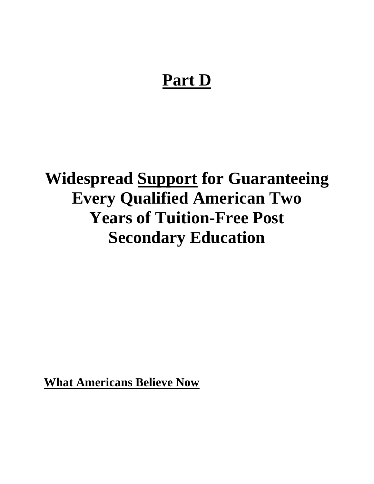## **Part D**

# **Widespread Support for Guaranteeing Every Qualified American Two Years of Tuition-Free Post Secondary Education**

**What Americans Believe Now**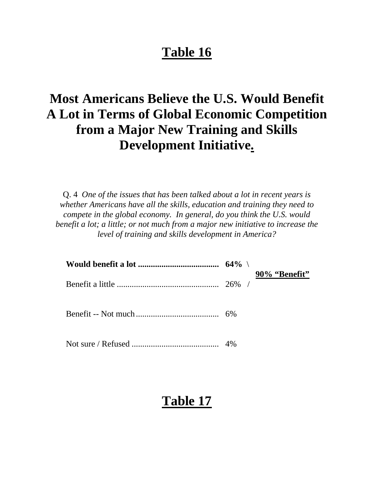## **Most Americans Believe the U.S. Would Benefit A Lot in Terms of Global Economic Competition from a Major New Training and Skills Development Initiative.**

Q. 4 *One of the issues that has been talked about a lot in recent years is whether Americans have all the skills, education and training they need to compete in the global economy. In general, do you think the U.S. would benefit a lot; a little; or not much from a major new initiative to increase the level of training and skills development in America?*

|  | 90% "Benefit" |
|--|---------------|
|  |               |
|  |               |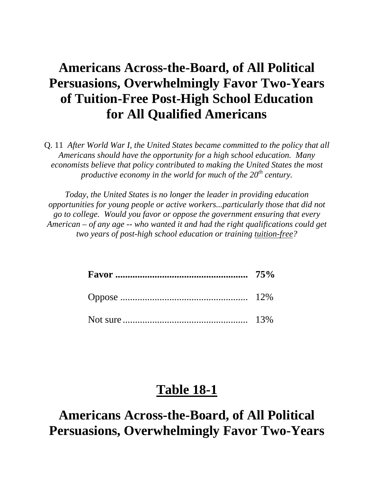## **Americans Across-the-Board, of All Political Persuasions, Overwhelmingly Favor Two-Years of Tuition-Free Post-High School Education for All Qualified Americans**

Q. 11 *After World War I, the United States became committed to the policy that all Americans should have the opportunity for a high school education. Many economists believe that policy contributed to making the United States the most productive economy in the world for much of the 20th century.* 

*Today, the United States is no longer the leader in providing education opportunities for young people or active workers...particularly those that did not go to college. Would you favor or oppose the government ensuring that every American – of any age -- who wanted it and had the right qualifications could get two years of post-high school education or training tuition-free?*

### **Table 18-1**

**Americans Across-the-Board, of All Political Persuasions, Overwhelmingly Favor Two-Years**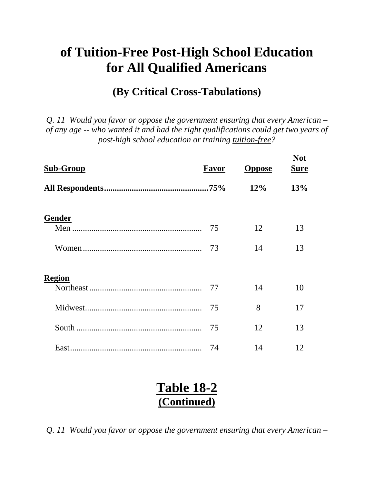## **of Tuition-Free Post-High School Education for All Qualified Americans**

#### **(By Critical Cross-Tabulations)**

*Q. 11 Would you favor or oppose the government ensuring that every American – of any age -- who wanted it and had the right qualifications could get two years of post-high school education or training tuition-free?*

| <b>Sub-Group</b> | Favor | <b>Oppose</b> | <b>Not</b><br><b>Sure</b> |
|------------------|-------|---------------|---------------------------|
|                  |       | 12%           | 13%                       |
| <b>Gender</b>    |       |               |                           |
|                  | 75    | 12            | 13                        |
|                  | 73    | 14            | 13                        |
| <b>Region</b>    |       |               |                           |
|                  | 77    | 14            | 10                        |
|                  | 75    | 8             | 17                        |
|                  | 75    | 12            | 13                        |
|                  | 74    | 14            | 12                        |

### **Table 18-2 (Continued)**

*Q. 11 Would you favor or oppose the government ensuring that every American –*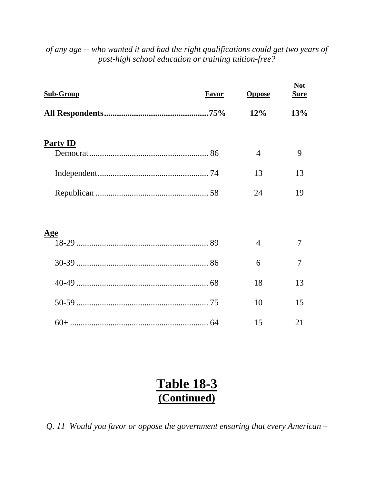| <b>Sub-Group</b> | <b>Favor</b> | <b>Oppose</b>  | <b>Not</b><br><b>Sure</b> |
|------------------|--------------|----------------|---------------------------|
|                  |              | 12%            | 13%                       |
| <b>Party ID</b>  |              |                |                           |
|                  |              | $\overline{4}$ | 9                         |
|                  |              | 13             | 13                        |
|                  |              | 24             | 19                        |
|                  |              |                |                           |
| <u>Age</u>       |              |                |                           |
|                  |              | $\overline{4}$ | 7                         |
|                  |              | 6              | 7                         |
|                  |              | 18             | 13                        |
|                  |              | 10             | 15                        |
|                  |              | 15             | 21                        |

#### *of any age -- who wanted it and had the right qualifications could get two years of post-high school education or training tuition-free?*

### **Table 18-3 (Continued)**

*Q. 11 Would you favor or oppose the government ensuring that every American –*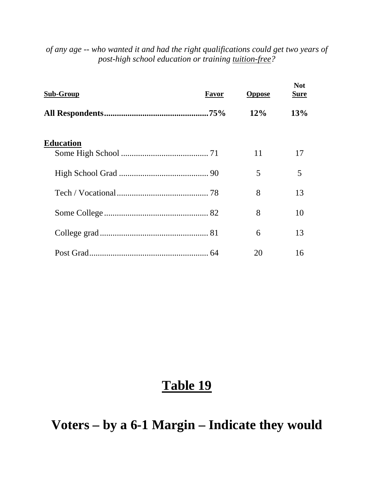| Sub-Group | <b>Favor</b> | <b>Oppose</b> | <b>Not</b><br><b>Sure</b> |
|-----------|--------------|---------------|---------------------------|
|           |              | $12\%$        | 13%                       |
| Education |              | 11            | 17                        |
|           |              | 5             | 5                         |
|           |              | 8             | 13                        |
|           |              | 8             | 10                        |
|           |              | 6             | 13                        |
|           |              | 20            | 16                        |

*of any age -- who wanted it and had the right qualifications could get two years of post-high school education or training tuition-free?*

### **Table 19**

**Voters – by a 6-1 Margin – Indicate they would**